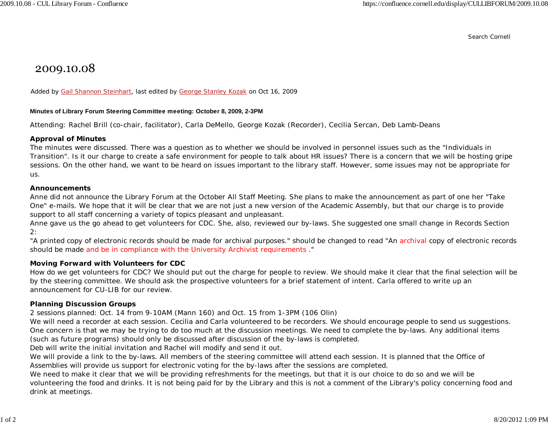Search Cornell

# 2009.10.08

Added by Gail Shannon Steinhart, last edited by George Stanley Kozak on Oct 16, 2009

#### **Minutes of Library Forum Steering Committee meeting: October 8, 2009, 2-3PM**

Attending: Rachel Brill (co-chair, facilitator), Carla DeMello, George Kozak (Recorder), Cecilia Sercan, Deb Lamb-Deans

### **Approval of Minutes**

The minutes were discussed. There was a question as to whether we should be involved in personnel issues such as the "Individuals in Transition". Is it our charge to create a safe environment for people to talk about HR issues? There is a concern that we will be hosting gripe sessions. On the other hand, we want to be heard on issues important to the library staff. However, some issues may not be appropriate for us.

#### **Announcements**

Anne did not announce the Library Forum at the October All Staff Meeting. She plans to make the announcement as part of one her "Take One" e-mails. We hope that it will be clear that we are not just a new version of the Academic Assembly, but that our charge is to provide support to all staff concerning a variety of topics pleasant and unpleasant.

Anne gave us the go ahead to get volunteers for CDC. She, also, reviewed our by-laws. She suggested one small change in Records Section 2:

"A printed copy of electronic records should be made for archival purposes." should be changed to read "An archival copy of electronic records should be made and be in compliance with the University Archivist requirements ."

### **Moving Forward with Volunteers for CDC**

How do we get volunteers for CDC? We should put out the charge for people to review. We should make it clear that the final selection will be by the steering committee. We should ask the prospective volunteers for a brief statement of intent. Carla offered to write up an announcement for CU-LIB for our review.

### **Planning Discussion Groups**

2 sessions planned: Oct. 14 from 9-10AM (Mann 160) and Oct. 15 from 1-3PM (106 Olin)

We will need a recorder at each session. Cecilia and Carla volunteered to be recorders. We should encourage people to send us suggestions. One concern is that we may be trying to do too much at the discussion meetings. We need to complete the by-laws. Any additional items (such as future programs) should only be discussed after discussion of the by-laws is completed.

Deb will write the initial invitation and Rachel will modify and send it out.

We will provide a link to the by-laws. All members of the steering committee will attend each session. It is planned that the Office of Assemblies will provide us support for electronic voting for the by-laws after the sessions are completed.

We need to make it clear that we will be providing refreshments for the meetings, but that it is our choice to do so and we will be volunteering the food and drinks. It is not being paid for by the Library and this is not a comment of the Library's policy concerning food and drink at meetings.